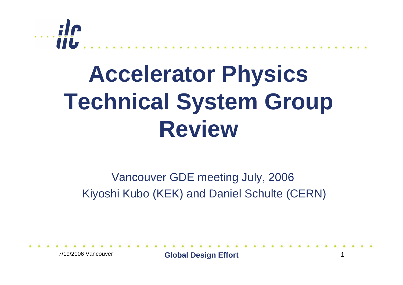

### **Accelerator Physics Technical System Group Review**

Vancouver GDE meeting July, 2006 Kiyoshi Kubo (KEK) and Daniel Schulte (CERN)

7/19/2006 Vancouver

**Global Design Effort** 1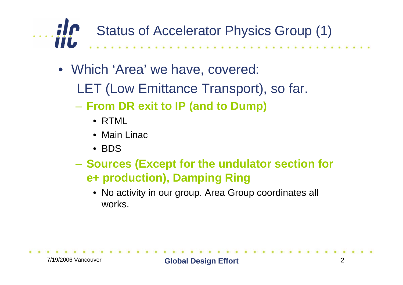$\ldots$  ;  $\ln$ Status of Accelerator Physics Group (1) iiL

- Which 'Area' we have, covered:
	- LET (Low Emittance Transport), so far.
	- **From DR exit to IP (and to Dump)**
		- RTML
		- Main Linac
		- BDS
	- – **Sources (Except for the undulator section for e+ production), Damping Ring**
		- No activity in our group. Area Group coordinates all works.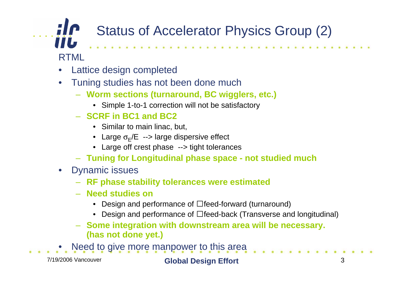#### Status of Accelerator Physics Group (2) **IIL**

RTML

- •Lattice design completed
- • Tuning studies has not been done much
	- **Worm sections (turnaround, BC wigglers, etc.)**
		- Simple 1-to-1 correction will not be satisfactory
	- **SCRF in BC1 and BC2**
		- Similar to main linac, but,
		- Large  $\sigma_{E}/E$  --> large dispersive effect
		- Large off crest phase --> tight tolerances
	- **Tuning for Longitudinal phase space - not studied much**
- Dynamic issues
	- **RF phase stability tolerances were estimated**
	- **Need studies on**
		- Design and performance of  $\Box$  feed-forward (turnaround)
		- Design and performance of  $\Box$  feed-back (Transverse and longitudinal)
	- **Some integration with downstream area will be necessary. (has not done yet.)**
- •Need to give more manpower to this area

7/19/2006 Vancouver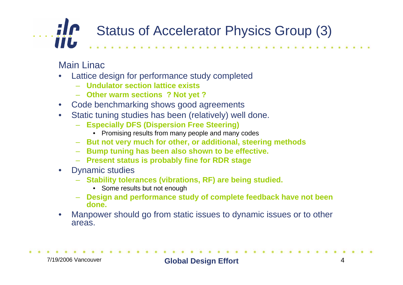#### $\ldots$  ; i.e. Status of Accelerator Physics Group (3) `iiL

Main Linac

- • Lattice design for performance study completed
	- **Undulator section lattice exists**
	- **Other warm sections ? Not yet ?**
- Code benchmarking shows good agreements
- • Static tuning studies has been (relatively) well done.
	- **Especially DFS (Dispersion Free Steering)**
		- Promising results from many people and many codes
	- **But not very much for other, or additional, steering methods**
	- **Bump tuning has been also shown to be effective.**
	- **Present status is probably fine for RDR stage**
- • Dynamic studies
	- **Stability tolerances (vibrations, RF) are being studied.**
		- Some results but not enough
	- **Design and performance study of complete feedback have not been done.**
- • Manpower should go from static issues to dynamic issues or to other areas.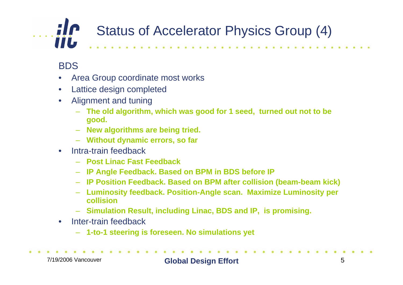#### $\ldots$  ; i.e. Status of Accelerator Physics Group (4) **TIL**

#### BDS

- •Area Group coordinate most works
- •Lattice design completed
- • Alignment and tuning
	- **The old algorithm, which was good for 1 seed, turned out not to be good.**
	- **New algorithms are being tried.**
	- **Without dynamic errors, so far**
- $\bullet$  Intra-train feedback
	- **Post Linac Fast Feedback**
	- **IP Angle Feedback. Based on BPM in BDS before IP**
	- **IP Position Feedback. Based on BPM after collision (beam-beam kick)**
	- **Luminosity feedback. Position-Angle scan. Maximize Luminosity per collision**
	- **Simulation Result, including Linac, BDS and IP, is promising.**
- • Inter-train feedback
	- **1-to-1 steering is foreseen. No simulations yet**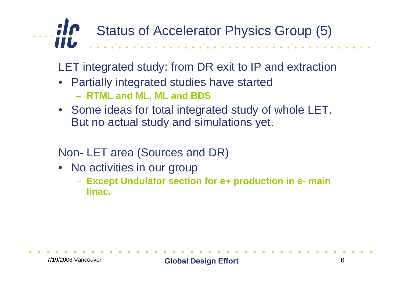

LET integrated study: from DR exit to IP and extraction

- Partially integrated studies have started **RTML and ML, ML and BDS**
- Some ideas for total integrated study of whole LET. But no actual study and simulations yet.

#### Non- LET area (Sources and DR)

- No activities in our group
	- **Except Undulator section for e+ production in e- main linac.**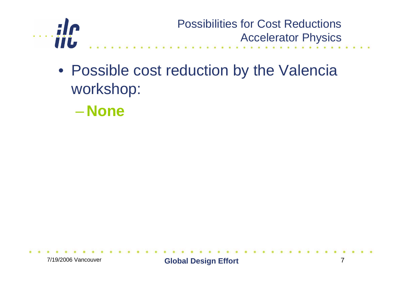

- Possible cost reduction by the Valencia workshop:
	- –**None**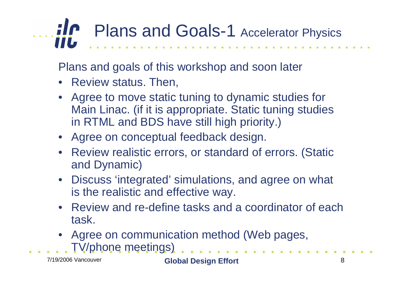# **Plans and Goals-1 Accelerator Physics**

Plans and goals of this workshop and soon later

- Review status. Then,
- Agree to move static tuning to dynamic studies for Main Linac. (if it is appropriate. Static tuning studies in RTML and BDS have still high priority.)
- Agree on conceptual feedback design.
- Review realistic errors, or standard of errors. (Static and Dynamic)
- Discuss 'integrated' simulations, and agree on what is the realistic and effective way.
- Review and re-define tasks and a coordinator of each task.
- Agree on communication method (Web pages, TV/phone meetings)

7/19/2006 Vancouver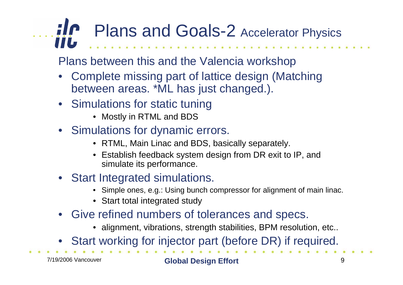## **Plans and Goals-2** Accelerator Physics

Plans between this and the Valencia workshop

- • Complete missing part of lattice design (Matching between areas. \*ML has just changed.).
- Simulations for static tuning
	- Mostly in RTML and BDS
- Simulations for dynamic errors.
	- RTML, Main Linac and BDS, basically separately.
	- Establish feedback system design from DR exit to IP, and simulate its performance.
- Start Integrated simulations.
	- Simple ones, e.g.: Using bunch compressor for alignment of main linac.
	- Start total integrated study
- Give refined numbers of tolerances and specs.
	- alignment, vibrations, strength stabilities, BPM resolution, etc..
- $\bullet$ Start working for injector part (before DR) if required.